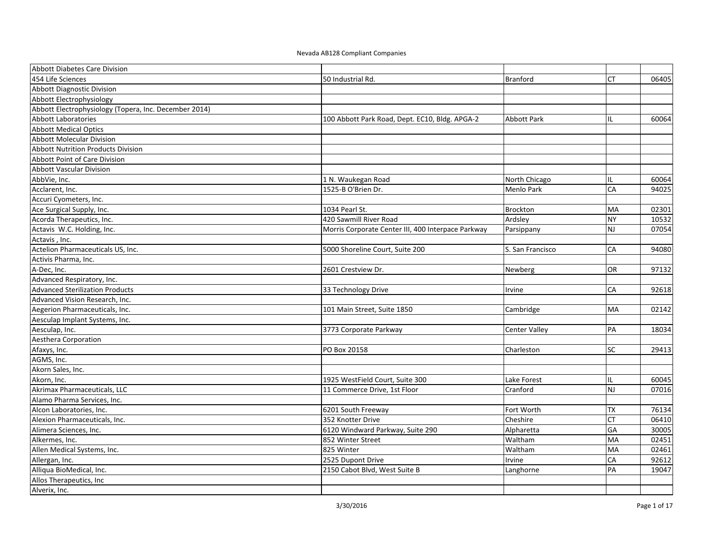| Abbott Diabetes Care Division                         |                                                    |                      |           |       |
|-------------------------------------------------------|----------------------------------------------------|----------------------|-----------|-------|
| 454 Life Sciences                                     | 50 Industrial Rd.                                  | <b>Branford</b>      | <b>CT</b> | 06405 |
| <b>Abbott Diagnostic Division</b>                     |                                                    |                      |           |       |
| Abbott Electrophysiology                              |                                                    |                      |           |       |
| Abbott Electrophysiology (Topera, Inc. December 2014) |                                                    |                      |           |       |
| <b>Abbott Laboratories</b>                            | 100 Abbott Park Road, Dept. EC10, Bldg. APGA-2     | <b>Abbott Park</b>   | IL        | 60064 |
| <b>Abbott Medical Optics</b>                          |                                                    |                      |           |       |
| <b>Abbott Molecular Division</b>                      |                                                    |                      |           |       |
| <b>Abbott Nutrition Products Division</b>             |                                                    |                      |           |       |
| <b>Abbott Point of Care Division</b>                  |                                                    |                      |           |       |
| <b>Abbott Vascular Division</b>                       |                                                    |                      |           |       |
| AbbVie, Inc.                                          | 1 N. Waukegan Road                                 | North Chicago        | IL        | 60064 |
| Acclarent, Inc.                                       | 1525-B O'Brien Dr.                                 | Menlo Park           | CA        | 94025 |
| Accuri Cyometers, Inc.                                |                                                    |                      |           |       |
| Ace Surgical Supply, Inc.                             | 1034 Pearl St.                                     | Brockton             | MA        | 02301 |
| Acorda Therapeutics, Inc.                             | 420 Sawmill River Road                             | Ardsley              | <b>NY</b> | 10532 |
| Actavis W.C. Holding, Inc.                            | Morris Corporate Center III, 400 Interpace Parkway | Parsippany           | <b>NJ</b> | 07054 |
| Actavis, Inc.                                         |                                                    |                      |           |       |
| Actelion Pharmaceuticals US, Inc.                     | 5000 Shoreline Court, Suite 200                    | S. San Francisco     | CA        | 94080 |
| Activis Pharma, Inc.                                  |                                                    |                      |           |       |
| A-Dec, Inc.                                           | 2601 Crestview Dr.                                 | Newberg              | OR        | 97132 |
| Advanced Respiratory, Inc.                            |                                                    |                      |           |       |
| <b>Advanced Sterilization Products</b>                | 33 Technology Drive                                | Irvine               | CA        | 92618 |
| Advanced Vision Research, Inc.                        |                                                    |                      |           |       |
| Aegerion Pharmaceuticals, Inc.                        | 101 Main Street, Suite 1850                        | Cambridge            | <b>MA</b> | 02142 |
| Aesculap Implant Systems, Inc.                        |                                                    |                      |           |       |
| Aesculap, Inc.                                        | 3773 Corporate Parkway                             | <b>Center Valley</b> | PA        | 18034 |
| Aesthera Corporation                                  |                                                    |                      |           |       |
| Afaxys, Inc.                                          | PO Box 20158                                       | Charleston           | SC        | 29413 |
| AGMS, Inc.                                            |                                                    |                      |           |       |
| Akorn Sales, Inc.                                     |                                                    |                      |           |       |
| Akorn, Inc.                                           | 1925 WestField Court, Suite 300                    | Lake Forest          | IL        | 60045 |
| Akrimax Pharmaceuticals, LLC                          | 11 Commerce Drive, 1st Floor                       | Cranford             | <b>NJ</b> | 07016 |
| Alamo Pharma Services, Inc.                           |                                                    |                      |           |       |
| Alcon Laboratories, Inc.                              | 6201 South Freeway                                 | Fort Worth           | <b>TX</b> | 76134 |
| Alexion Pharmaceuticals, Inc.                         | 352 Knotter Drive                                  | Cheshire             | CT        | 06410 |
| Alimera Sciences, Inc.                                | 6120 Windward Parkway, Suite 290                   | Alpharetta           | GA        | 30005 |
| Alkermes, Inc.                                        | 852 Winter Street                                  | Waltham              | <b>MA</b> | 02451 |
| Allen Medical Systems, Inc.                           | 825 Winter                                         | Waltham              | MA        | 02461 |
| Allergan, Inc.                                        | 2525 Dupont Drive                                  | Irvine               | CA        | 92612 |
| Alliqua BioMedical, Inc.                              | 2150 Cabot Blvd, West Suite B                      | Langhorne            | PA        | 19047 |
| Allos Therapeutics, Inc                               |                                                    |                      |           |       |
| Alverix, Inc.                                         |                                                    |                      |           |       |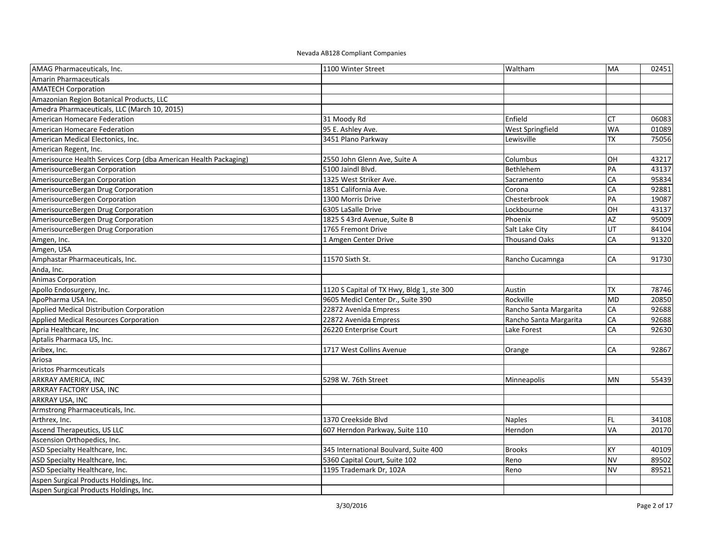| AMAG Pharmaceuticals, Inc.                                       | 1100 Winter Street                        | Waltham                | MA        | 02451 |
|------------------------------------------------------------------|-------------------------------------------|------------------------|-----------|-------|
| <b>Amarin Pharmaceuticals</b>                                    |                                           |                        |           |       |
| <b>AMATECH Corporation</b>                                       |                                           |                        |           |       |
| Amazonian Region Botanical Products, LLC                         |                                           |                        |           |       |
| Amedra Pharmaceuticals, LLC (March 10, 2015)                     |                                           |                        |           |       |
| American Homecare Federation                                     | 31 Moody Rd                               | Enfield                | <b>CT</b> | 06083 |
| American Homecare Federation                                     | 95 E. Ashley Ave.                         | West Springfield       | <b>WA</b> | 01089 |
| American Medical Electonics, Inc.                                | 3451 Plano Parkway                        | Lewisville             | <b>TX</b> | 75056 |
| American Regent, Inc.                                            |                                           |                        |           |       |
| Amerisource Health Services Corp (dba American Health Packaging) | 2550 John Glenn Ave, Suite A              | Columbus               | OH        | 43217 |
| AmerisourceBergan Corporation                                    | 5100 Jaindl Blvd.                         | Bethlehem              | PA        | 43137 |
| AmerisourceBergan Corporation                                    | 1325 West Striker Ave.                    | Sacramento             | CA        | 95834 |
| AmerisourceBergan Drug Corporation                               | 1851 California Ave.                      | Corona                 | CA        | 92881 |
| AmerisourceBergen Corporation                                    | 1300 Morris Drive                         | Chesterbrook           | PA        | 19087 |
| AmerisourceBergen Drug Corporation                               | 6305 LaSalle Drive                        | Lockbourne             | OH        | 43137 |
| AmerisourceBergen Drug Corporation                               | 1825 S 43rd Avenue, Suite B               | Phoenix                | AZ        | 95009 |
| AmerisourceBergen Drug Corporation                               | 1765 Fremont Drive                        | Salt Lake City         | UT        | 84104 |
| Amgen, Inc.                                                      | 1 Amgen Center Drive                      | <b>Thousand Oaks</b>   | CA        | 91320 |
| Amgen, USA                                                       |                                           |                        |           |       |
| Amphastar Pharmaceuticals, Inc.                                  | 11570 Sixth St.                           | Rancho Cucamnga        | CA        | 91730 |
| Anda, Inc.                                                       |                                           |                        |           |       |
| <b>Animas Corporation</b>                                        |                                           |                        |           |       |
| Apollo Endosurgery, Inc.                                         | 1120 S Capital of TX Hwy, Bldg 1, ste 300 | Austin                 | <b>TX</b> | 78746 |
| ApoPharma USA Inc.                                               | 9605 Medicl Center Dr., Suite 390         | Rockville              | <b>MD</b> | 20850 |
| Applied Medical Distribution Corporation                         | 22872 Avenida Empress                     | Rancho Santa Margarita | CA        | 92688 |
| Applied Medical Resources Corporation                            | 22872 Avenida Empress                     | Rancho Santa Margarita | CA        | 92688 |
| Apria Healthcare, Inc                                            | 26220 Enterprise Court                    | Lake Forest            | CA        | 92630 |
| Aptalis Pharmaca US, Inc.                                        |                                           |                        |           |       |
| Aribex, Inc.                                                     | 1717 West Collins Avenue                  | Orange                 | CA        | 92867 |
| Ariosa                                                           |                                           |                        |           |       |
| <b>Aristos Pharmceuticals</b>                                    |                                           |                        |           |       |
| ARKRAY AMERICA, INC                                              | 5298 W. 76th Street                       | Minneapolis            | <b>MN</b> | 55439 |
| ARKRAY FACTORY USA, INC                                          |                                           |                        |           |       |
| ARKRAY USA. INC                                                  |                                           |                        |           |       |
| Armstrong Pharmaceuticals, Inc.                                  |                                           |                        |           |       |
| Arthrex, Inc.                                                    | 1370 Creekside Blvd                       | <b>Naples</b>          | <b>FL</b> | 34108 |
| Ascend Therapeutics, US LLC                                      | 607 Herndon Parkway, Suite 110            | Herndon                | VA        | 20170 |
| Ascension Orthopedics, Inc.                                      |                                           |                        |           |       |
| ASD Specialty Healthcare, Inc.                                   | 345 International Boulvard, Suite 400     | <b>Brooks</b>          | <b>KY</b> | 40109 |
| ASD Specialty Healthcare, Inc.                                   | 5360 Capital Court, Suite 102             | Reno                   | <b>NV</b> | 89502 |
| ASD Specialty Healthcare, Inc.                                   | 1195 Trademark Dr, 102A                   | Reno                   | <b>NV</b> | 89521 |
| Aspen Surgical Products Holdings, Inc.                           |                                           |                        |           |       |
| Aspen Surgical Products Holdings, Inc.                           |                                           |                        |           |       |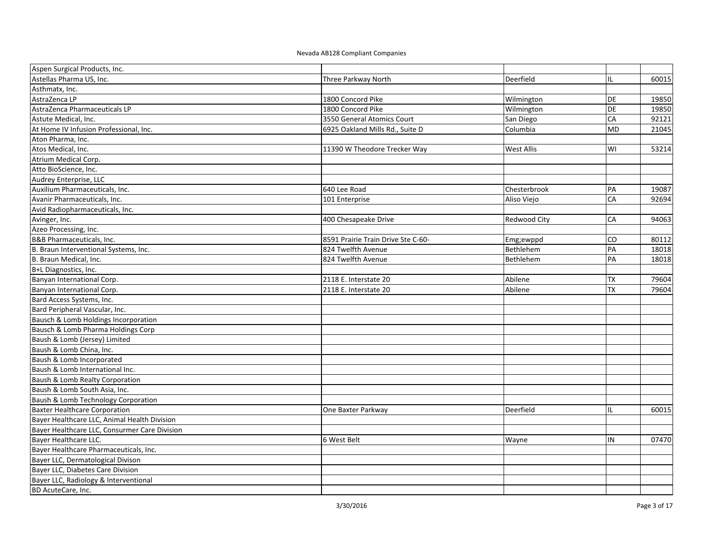| Aspen Surgical Products, Inc.                 |                                    |              |           |       |
|-----------------------------------------------|------------------------------------|--------------|-----------|-------|
| Astellas Pharma US, Inc.                      | Three Parkway North                | Deerfield    | IL        | 60015 |
| Asthmatx, Inc.                                |                                    |              |           |       |
| AstraZenca LP                                 | 1800 Concord Pike                  | Wilmington   | DE        | 19850 |
| AstraZenca Pharmaceuticals LP                 | 1800 Concord Pike                  | Wilmington   | <b>DE</b> | 19850 |
| Astute Medical, Inc.                          | 3550 General Atomics Court         | San Diego    | CA        | 92121 |
| At Home IV Infusion Professional, Inc.        | 6925 Oakland Mills Rd., Suite D    | Columbia     | <b>MD</b> | 21045 |
| Aton Pharma, Inc.                             |                                    |              |           |       |
| Atos Medical, Inc.                            | 11390 W Theodore Trecker Way       | West Allis   | WI        | 53214 |
| Atrium Medical Corp.                          |                                    |              |           |       |
| Atto BioScience, Inc.                         |                                    |              |           |       |
| Audrey Enterprise, LLC                        |                                    |              |           |       |
| Auxilium Pharmaceuticals, Inc.                | 640 Lee Road                       | Chesterbrook | PA        | 19087 |
| Avanir Pharmaceuticals, Inc.                  | 101 Enterprise                     | Aliso Viejo  | CA        | 92694 |
| Avid Radiopharmaceuticals, Inc.               |                                    |              |           |       |
| Avinger, Inc.                                 | 400 Chesapeake Drive               | Redwood City | CA        | 94063 |
| Azeo Processing, Inc.                         |                                    |              |           |       |
| B&B Pharmaceuticals, Inc.                     | 8591 Prairie Train Drive Ste C-60- | Emg;ewppd    | CO        | 80112 |
| B. Braun Interventional Systems, Inc.         | 824 Twelfth Avenue                 | Bethlehem    | PA        | 18018 |
| B. Braun Medical, Inc.                        | 824 Twelfth Avenue                 | Bethlehem    | PA        | 18018 |
| B+L Diagnostics, Inc.                         |                                    |              |           |       |
| Banyan International Corp.                    | 2118 E. Interstate 20              | Abilene      | <b>TX</b> | 79604 |
| Banyan International Corp.                    | 2118 E. Interstate 20              | Abilene      | <b>TX</b> | 79604 |
| Bard Access Systems, Inc.                     |                                    |              |           |       |
| Bard Peripheral Vascular, Inc.                |                                    |              |           |       |
| Bausch & Lomb Holdings Incorporation          |                                    |              |           |       |
| Bausch & Lomb Pharma Holdings Corp            |                                    |              |           |       |
| Baush & Lomb (Jersey) Limited                 |                                    |              |           |       |
| Baush & Lomb China, Inc.                      |                                    |              |           |       |
| Baush & Lomb Incorporated                     |                                    |              |           |       |
| Baush & Lomb International Inc.               |                                    |              |           |       |
| Baush & Lomb Realty Corporation               |                                    |              |           |       |
| Baush & Lomb South Asia, Inc.                 |                                    |              |           |       |
| Baush & Lomb Technology Corporation           |                                    |              |           |       |
| <b>Baxter Healthcare Corporation</b>          | One Baxter Parkway                 | Deerfield    | IL        | 60015 |
| Bayer Healthcare LLC, Animal Health Division  |                                    |              |           |       |
| Bayer Healthcare LLC, Consurmer Care Division |                                    |              |           |       |
| Bayer Healthcare LLC.                         | 6 West Belt                        | Wayne        | IN        | 07470 |
| Bayer Healthcare Pharmaceuticals, Inc.        |                                    |              |           |       |
| Bayer LLC, Dermatological Divison             |                                    |              |           |       |
| Bayer LLC, Diabetes Care Division             |                                    |              |           |       |
| Bayer LLC, Radiology & Interventional         |                                    |              |           |       |
| BD AcuteCare, Inc.                            |                                    |              |           |       |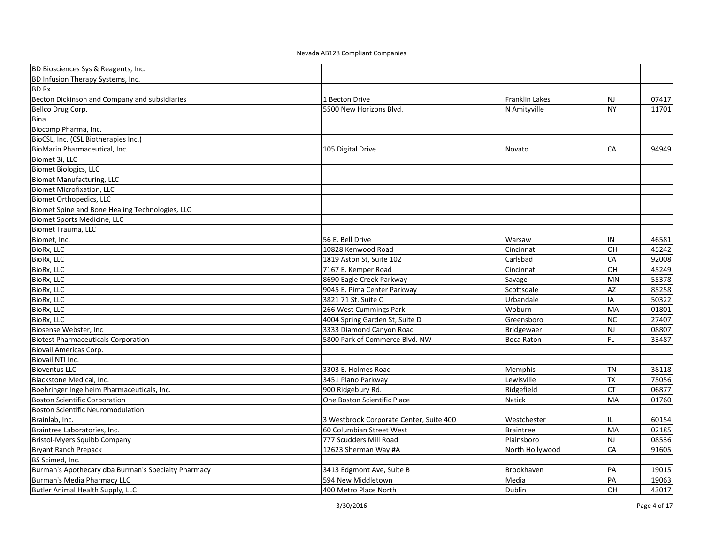| BD Biosciences Sys & Reagents, Inc.                 |                                         |                       |           |       |
|-----------------------------------------------------|-----------------------------------------|-----------------------|-----------|-------|
| BD Infusion Therapy Systems, Inc.                   |                                         |                       |           |       |
| <b>BD Rx</b>                                        |                                         |                       |           |       |
| Becton Dickinson and Company and subsidiaries       | 1 Becton Drive                          | <b>Franklin Lakes</b> | <b>NJ</b> | 07417 |
| Bellco Drug Corp.                                   | 5500 New Horizons Blvd.                 | N Amityville          | <b>NY</b> | 11701 |
| Bina                                                |                                         |                       |           |       |
| Biocomp Pharma, Inc.                                |                                         |                       |           |       |
| BioCSL, Inc. (CSL Biotherapies Inc.)                |                                         |                       |           |       |
| BioMarin Pharmaceutical, Inc.                       | 105 Digital Drive                       | Novato                | CA        | 94949 |
| Biomet 3i, LLC                                      |                                         |                       |           |       |
| <b>Biomet Biologics, LLC</b>                        |                                         |                       |           |       |
| <b>Biomet Manufacturing, LLC</b>                    |                                         |                       |           |       |
| <b>Biomet Microfixation, LLC</b>                    |                                         |                       |           |       |
| <b>Biomet Orthopedics, LLC</b>                      |                                         |                       |           |       |
| Biomet Spine and Bone Healing Technologies, LLC     |                                         |                       |           |       |
| Biomet Sports Medicine, LLC                         |                                         |                       |           |       |
| <b>Biomet Trauma, LLC</b>                           |                                         |                       |           |       |
| Biomet, Inc.                                        | 56 E. Bell Drive                        | Warsaw                | IN        | 46581 |
| BioRx, LLC                                          | 10828 Kenwood Road                      | Cincinnati            | OH        | 45242 |
| BioRx, LLC                                          | 1819 Aston St, Suite 102                | Carlsbad              | CA        | 92008 |
| BioRx, LLC                                          | 7167 E. Kemper Road                     | Cincinnati            | OH        | 45249 |
| <b>BioRx, LLC</b>                                   | 8690 Eagle Creek Parkway                | Savage                | <b>MN</b> | 55378 |
| <b>BioRx, LLC</b>                                   | 9045 E. Pima Center Parkway             | Scottsdale            | AZ        | 85258 |
| BioRx, LLC                                          | 3821 71 St. Suite C                     | Urbandale             | IA        | 50322 |
| <b>BioRx, LLC</b>                                   | 266 West Cummings Park                  | Woburn                | <b>MA</b> | 01801 |
| <b>BioRx, LLC</b>                                   | 4004 Spring Garden St, Suite D          | Greensboro            | <b>NC</b> | 27407 |
| Biosense Webster, Inc.                              | 3333 Diamond Canyon Road                | Bridgewaer            | <b>NJ</b> | 08807 |
| <b>Biotest Pharmaceuticals Corporation</b>          | 5800 Park of Commerce Blvd. NW          | <b>Boca Raton</b>     | FL        | 33487 |
| <b>Biovail Americas Corp.</b>                       |                                         |                       |           |       |
| Biovail NTI Inc.                                    |                                         |                       |           |       |
| <b>Bioventus LLC</b>                                | 3303 E. Holmes Road                     | Memphis               | <b>TN</b> | 38118 |
| Blackstone Medical, Inc.                            | 3451 Plano Parkway                      | Lewisville            | <b>TX</b> | 75056 |
| Boehringer Ingelheim Pharmaceuticals, Inc.          | 900 Ridgebury Rd.                       | Ridgefield            | <b>CT</b> | 06877 |
| <b>Boston Scientific Corporation</b>                | One Boston Scientific Place             | Natick                | MA        | 01760 |
| <b>Boston Scientific Neuromodulation</b>            |                                         |                       |           |       |
| Brainlab, Inc.                                      | 3 Westbrook Corporate Center, Suite 400 | Westchester           | IL.       | 60154 |
| Braintree Laboratories, Inc.                        | 60 Columbian Street West                | <b>Braintree</b>      | MA        | 02185 |
| <b>Bristol-Myers Squibb Company</b>                 | 777 Scudders Mill Road                  | Plainsboro            | <b>NJ</b> | 08536 |
| Bryant Ranch Prepack                                | 12623 Sherman Way #A                    | North Hollywood       | CA        | 91605 |
| BS Scimed, Inc.                                     |                                         |                       |           |       |
| Burman's Apothecary dba Burman's Specialty Pharmacy | 3413 Edgmont Ave, Suite B               | Brookhaven            | PA        | 19015 |
| Burman's Media Pharmacy LLC                         | 594 New Middletown                      | Media                 | PA        | 19063 |
| Butler Animal Health Supply, LLC                    | 400 Metro Place North                   | Dublin                | OH        | 43017 |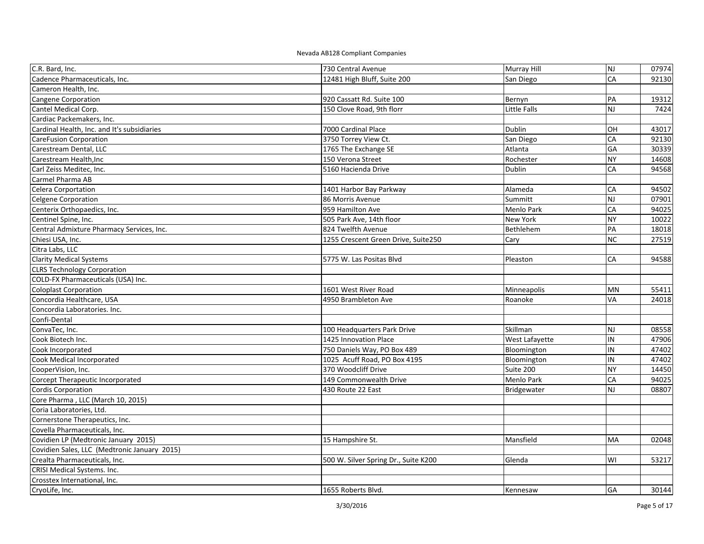| C.R. Bard, Inc.                              | 730 Central Avenue                   | Murray Hill    | NJ        | 07974 |
|----------------------------------------------|--------------------------------------|----------------|-----------|-------|
| Cadence Pharmaceuticals, Inc.                | 12481 High Bluff, Suite 200          | San Diego      | CA        | 92130 |
| Cameron Health, Inc.                         |                                      |                |           |       |
| Cangene Corporation                          | 920 Cassatt Rd. Suite 100            | Bernyn         | PA        | 19312 |
| Cantel Medical Corp.                         | 150 Clove Road, 9th florr            | Little Falls   | <b>NJ</b> | 7424  |
| Cardiac Packemakers, Inc.                    |                                      |                |           |       |
| Cardinal Health, Inc. and It's subsidiaries  | 7000 Cardinal Place                  | <b>Dublin</b>  | OH        | 43017 |
| <b>CareFusion Corporation</b>                | 3750 Torrey View Ct.                 | San Diego      | CA        | 92130 |
| Carestream Dental, LLC                       | 1765 The Exchange SE                 | Atlanta        | GA        | 30339 |
| Carestream Health, Inc                       | 150 Verona Street                    | Rochester      | <b>NY</b> | 14608 |
| Carl Zeiss Meditec, Inc.                     | 5160 Hacienda Drive                  | Dublin         | CA        | 94568 |
| Carmel Pharma AB                             |                                      |                |           |       |
| Celera Corportation                          | 1401 Harbor Bay Parkway              | Alameda        | CA        | 94502 |
| <b>Celgene Corporation</b>                   | 86 Morris Avenue                     | Summitt        | <b>NJ</b> | 07901 |
| Centerix Orthopaedics, Inc.                  | 959 Hamilton Ave                     | Menlo Park     | CA        | 94025 |
| Centinel Spine, Inc.                         | 505 Park Ave, 14th floor             | New York       | <b>NY</b> | 10022 |
| Central Admixture Pharmacy Services, Inc.    | 824 Twelfth Avenue                   | Bethlehem      | PA        | 18018 |
| Chiesi USA, Inc.                             | 1255 Crescent Green Drive, Suite250  | Cary           | <b>NC</b> | 27519 |
| Citra Labs, LLC                              |                                      |                |           |       |
| <b>Clarity Medical Systems</b>               | 5775 W. Las Positas Blvd             | Pleaston       | CA        | 94588 |
| <b>CLRS Technology Corporation</b>           |                                      |                |           |       |
| COLD-FX Pharmaceuticals (USA) Inc.           |                                      |                |           |       |
| <b>Coloplast Corporation</b>                 | 1601 West River Road                 | Minneapolis    | <b>MN</b> | 55411 |
| Concordia Healthcare, USA                    | 4950 Brambleton Ave                  | Roanoke        | VA        | 24018 |
| Concordia Laboratories. Inc.                 |                                      |                |           |       |
| Confi-Dental                                 |                                      |                |           |       |
| ConvaTec, Inc.                               | 100 Headquarters Park Drive          | Skillman       | <b>NJ</b> | 08558 |
| Cook Biotech Inc.                            | 1425 Innovation Place                | West Lafayette | IN        | 47906 |
| Cook Incorporated                            | 750 Daniels Way, PO Box 489          | Bloomington    | IN        | 47402 |
| Cook Medical Incorporated                    | 1025 Acuff Road, PO Box 4195         | Bloomington    | IN        | 47402 |
| CooperVision, Inc.                           | 370 Woodcliff Drive                  | Suite 200      | <b>NY</b> | 14450 |
| Corcept Therapeutic Incorporated             | 149 Commonwealth Drive               | Menlo Park     | CA        | 94025 |
| <b>Cordis Corporation</b>                    | 430 Route 22 East                    | Bridgewater    | <b>NJ</b> | 08807 |
| Core Pharma, LLC (March 10, 2015)            |                                      |                |           |       |
| Coria Laboratories, Ltd.                     |                                      |                |           |       |
| Cornerstone Therapeutics, Inc.               |                                      |                |           |       |
| Covella Pharmaceuticals, Inc.                |                                      |                |           |       |
| Covidien LP (Medtronic January 2015)         | 15 Hampshire St.                     | Mansfield      | MA        | 02048 |
| Covidien Sales, LLC (Medtronic January 2015) |                                      |                |           |       |
| Crealta Pharmaceuticals, Inc.                | 500 W. Silver Spring Dr., Suite K200 | Glenda         | WI        | 53217 |
| CRISI Medical Systems. Inc.                  |                                      |                |           |       |
| Crosstex International, Inc.                 |                                      |                |           |       |
| CryoLife, Inc.                               | 1655 Roberts Blvd.                   | Kennesaw       | <b>GA</b> | 30144 |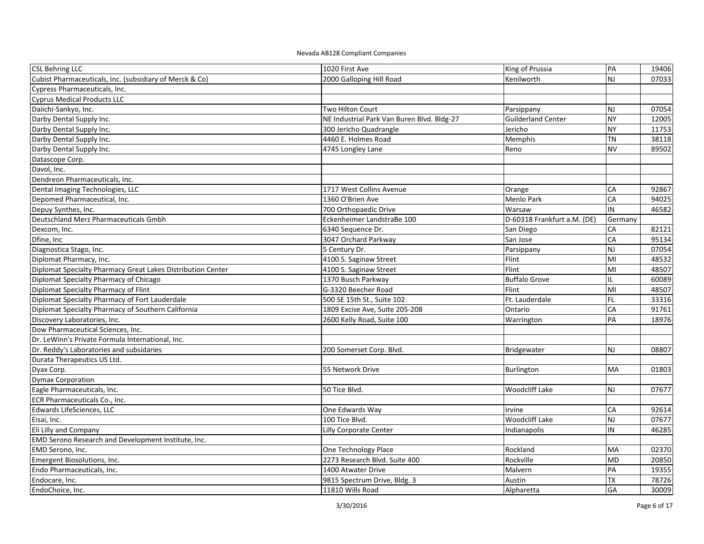| <b>CSL Behring LLC</b>                                      | 1020 First Ave                             | King of Prussia             | PA                      | 19406 |
|-------------------------------------------------------------|--------------------------------------------|-----------------------------|-------------------------|-------|
| Cubist Pharmaceuticals, Inc. (subsidiary of Merck & Co)     | 2000 Galloping Hill Road                   | Kenilworth                  | NJ                      | 07033 |
| Cypress Pharmaceuticals, Inc.                               |                                            |                             |                         |       |
| <b>Cyprus Medical Products LLC</b>                          |                                            |                             |                         |       |
| Daiichi-Sankyo, Inc.                                        | Two Hilton Court                           | Parsippany                  | <b>NJ</b>               | 07054 |
| Darby Dental Supply Inc.                                    | NE Industrial Park Van Buren Blvd. Bldg-27 | <b>Guilderland Center</b>   | <b>NY</b>               | 12005 |
| Darby Dental Supply Inc.                                    | 300 Jericho Quadrangle                     | Jericho                     | <b>NY</b>               | 11753 |
| Darby Dental Supply Inc.                                    | 4460 E. Holmes Road                        | Memphis                     | TN                      | 38118 |
| Darby Dental Supply Inc.                                    | 4745 Longley Lane                          | Reno                        | <b>NV</b>               | 89502 |
| Datascope Corp.                                             |                                            |                             |                         |       |
| Davol, Inc.                                                 |                                            |                             |                         |       |
| Dendreon Pharmaceuticals, Inc.                              |                                            |                             |                         |       |
| Dental Imaging Technologies, LLC                            | 1717 West Collins Avenue                   | Orange                      | CA                      | 92867 |
| Depomed Pharmaceutical, Inc.                                | 1360 O'Brien Ave                           | Menlo Park                  | CA                      | 94025 |
| Depuy Synthes, Inc.                                         | 700 Orthopaedic Drive                      | Warsaw                      | IN                      | 46582 |
| Deutschland Merz Pharmaceuticals Gmbh                       | Eckenheimer LandstraBe 100                 | D-60318 Frankfurt a.M. (DE) | Germany                 |       |
| Dexcom, Inc.                                                | 6340 Sequence Dr.                          | San Diego                   | CA                      | 82121 |
| Dfine, Inc                                                  | 3047 Orchard Parkway                       | San Jose                    | CA                      | 95134 |
| Diagnostica Stago, Inc.                                     | 5 Century Dr.                              | Parsippany                  | <b>NJ</b>               | 07054 |
| Diplomat Pharmacy, Inc.                                     | 4100 S. Saginaw Street                     | Flint                       | MI                      | 48532 |
| Diplomat Specialty Pharmacy Great Lakes Distribution Center | 4100 S. Saginaw Street                     | Flint                       | MI                      | 48507 |
| Diplomat Specialty Pharmacy of Chicago                      | 1370 Busch Parkway                         | <b>Buffalo Grove</b>        | IL.                     | 60089 |
| Diplomat Specialty Pharmacy of Flint                        | G-3320 Beecher Road                        | Flint                       | MI                      | 48507 |
| Diplomat Specialty Pharmacy of Fort Lauderdale              | 500 SE 15th St., Suite 102                 | Ft. Lauderdale              | <b>FL</b>               | 33316 |
| Diplomat Specialty Pharmacy of Southern California          | 1809 Excise Ave, Suite 205-208             | Ontario                     | CA                      | 91761 |
| Discovery Laboratories, Inc.                                | 2600 Kelly Road, Suite 100                 | Warrington                  | PA                      | 18976 |
| Dow Pharmaceutical Sciences, Inc.                           |                                            |                             |                         |       |
| Dr. LeWinn's Private Formula International, Inc.            |                                            |                             |                         |       |
| Dr. Reddy's Laboratories and subsidaries                    | 200 Somerset Corp. Blvd.                   | Bridgewater                 | <b>NJ</b>               | 08807 |
| Durata Therapeutics US Ltd.                                 |                                            |                             |                         |       |
| Dyax Corp.                                                  | 55 Network Drive                           | Burlington                  | <b>MA</b>               | 01803 |
| <b>Dymax Corporation</b>                                    |                                            |                             |                         |       |
| Eagle Pharmaceuticals, Inc.                                 | 50 Tice Blvd.                              | <b>Woodcliff Lake</b>       | <b>NJ</b>               | 07677 |
| ECR Pharmaceuticals Co., Inc.                               |                                            |                             |                         |       |
| Edwards LifeSciences, LLC                                   | One Edwards Way                            | Irvine                      | <b>CA</b>               | 92614 |
| Eisai, Inc.                                                 | 100 Tice Blvd.                             | <b>Woodcliff Lake</b>       | $\overline{\mathsf{z}}$ | 07677 |
| Eli Lilly and Company                                       | Lilly Corporate Center                     | Indianapolis                | IN                      | 46285 |
| EMD Serono Research and Development Institute, Inc.         |                                            |                             |                         |       |
| EMD Serono, Inc.                                            | One Technology Place                       | Rockland                    | MA                      | 02370 |
| Emergent Biosolutions, Inc.                                 | 2273 Research Blvd. Suite 400              | Rockville                   | <b>MD</b>               | 20850 |
| Endo Pharmaceuticals, Inc.                                  | 1400 Atwater Drive                         | Malvern                     | PA                      | 19355 |
| Endocare, Inc.                                              | 9815 Spectrum Drive, Bldg. 3               | Austin                      | <b>TX</b>               | 78726 |
| EndoChoice, Inc.                                            | 11810 Wills Road                           | Alpharetta                  | GA                      | 30009 |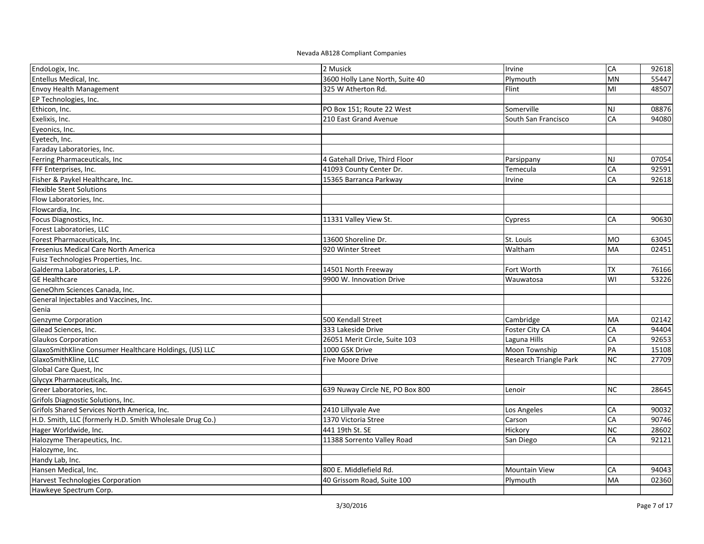| EndoLogix, Inc.                                          | 2 Musick                        | Irvine                 | CA        | 92618 |
|----------------------------------------------------------|---------------------------------|------------------------|-----------|-------|
| Entellus Medical, Inc.                                   | 3600 Holly Lane North, Suite 40 | Plymouth               | <b>MN</b> | 55447 |
| <b>Envoy Health Management</b>                           | 325 W Atherton Rd.              | Flint                  | MI        | 48507 |
| EP Technologies, Inc.                                    |                                 |                        |           |       |
| Ethicon, Inc.                                            | PO Box 151; Route 22 West       | Somerville             | <b>NJ</b> | 08876 |
| Exelixis, Inc.                                           | 210 East Grand Avenue           | South San Francisco    | CA        | 94080 |
| Eyeonics, Inc.                                           |                                 |                        |           |       |
| Eyetech, Inc.                                            |                                 |                        |           |       |
| Faraday Laboratories, Inc.                               |                                 |                        |           |       |
| Ferring Pharmaceuticals, Inc                             | 4 Gatehall Drive, Third Floor   | Parsippany             | <b>NJ</b> | 07054 |
| FFF Enterprises, Inc.                                    | 41093 County Center Dr.         | Temecula               | CA        | 92591 |
| Fisher & Paykel Healthcare, Inc.                         | 15365 Barranca Parkway          | Irvine                 | CA        | 92618 |
| <b>Flexible Stent Solutions</b>                          |                                 |                        |           |       |
| Flow Laboratories, Inc.                                  |                                 |                        |           |       |
| Flowcardia, Inc.                                         |                                 |                        |           |       |
| Focus Diagnostics, Inc.                                  | 11331 Valley View St.           | Cypress                | CA        | 90630 |
| Forest Laboratories, LLC                                 |                                 |                        |           |       |
| Forest Pharmaceuticals, Inc.                             | 13600 Shoreline Dr.             | St. Louis              | <b>MO</b> | 63045 |
| Fresenius Medical Care North America                     | 920 Winter Street               | Waltham                | MA        | 02451 |
| Fuisz Technologies Properties, Inc.                      |                                 |                        |           |       |
| Galderma Laboratories, L.P.                              | 14501 North Freeway             | Fort Worth             | <b>TX</b> | 76166 |
| <b>GE Healthcare</b>                                     | 9900 W. Innovation Drive        | Wauwatosa              | WI        | 53226 |
| GeneOhm Sciences Canada, Inc.                            |                                 |                        |           |       |
| General Injectables and Vaccines, Inc.                   |                                 |                        |           |       |
| Genia                                                    |                                 |                        |           |       |
| <b>Genzyme Corporation</b>                               | 500 Kendall Street              | Cambridge              | MA        | 02142 |
| Gilead Sciences, Inc.                                    | 333 Lakeside Drive              | Foster City CA         | CA        | 94404 |
| Glaukos Corporation                                      | 26051 Merit Circle, Suite 103   | Laguna Hills           | CA        | 92653 |
| GlaxoSmithKline Consumer Healthcare Holdings, (US) LLC   | 1000 GSK Drive                  | Moon Township          | PA        | 15108 |
| GlaxoSmithKline, LLC                                     | Five Moore Drive                | Research Triangle Park | <b>NC</b> | 27709 |
| Global Care Quest, Inc                                   |                                 |                        |           |       |
| Glycyx Pharmaceuticals, Inc.                             |                                 |                        |           |       |
| Greer Laboratories, Inc.                                 | 639 Nuway Circle NE, PO Box 800 | Lenoir                 | <b>NC</b> | 28645 |
| Grifols Diagnostic Solutions, Inc.                       |                                 |                        |           |       |
| Grifols Shared Services North America, Inc.              | 2410 Lillyvale Ave              | Los Angeles            | CA        | 90032 |
| H.D. Smith, LLC (formerly H.D. Smith Wholesale Drug Co.) | 1370 Victoria Stree             | Carson                 | CA        | 90746 |
| Hager Worldwide, Inc.                                    | 441 19th St. SE                 | Hickory                | <b>NC</b> | 28602 |
| Halozyme Therapeutics, Inc.                              | 11388 Sorrento Valley Road      | San Diego              | CA        | 92121 |
| Halozyme, Inc.                                           |                                 |                        |           |       |
| Handy Lab, Inc.                                          |                                 |                        |           |       |
| Hansen Medical, Inc.                                     | 800 E. Middlefield Rd.          | <b>Mountain View</b>   | CA        | 94043 |
| Harvest Technologies Corporation                         | 40 Grissom Road, Suite 100      | Plymouth               | MA        | 02360 |
| Hawkeye Spectrum Corp.                                   |                                 |                        |           |       |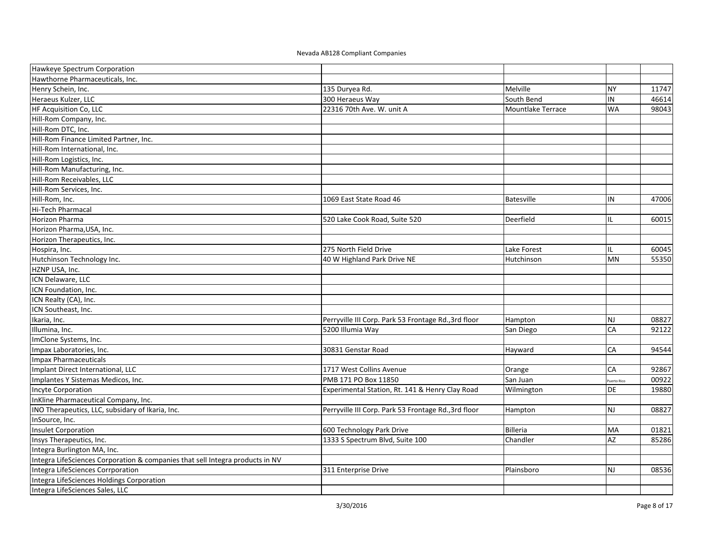| Hawkeye Spectrum Corporation                                                  |                                                      |                   |             |       |
|-------------------------------------------------------------------------------|------------------------------------------------------|-------------------|-------------|-------|
| Hawthorne Pharmaceuticals, Inc.                                               |                                                      |                   |             |       |
| Henry Schein, Inc.                                                            | 135 Duryea Rd.                                       | Melville          | <b>NY</b>   | 11747 |
| Heraeus Kulzer, LLC                                                           | 300 Heraeus Way                                      | South Bend        | IN          | 46614 |
| HF Acquisition Co, LLC                                                        | 22316 70th Ave. W. unit A                            | Mountlake Terrace | <b>WA</b>   | 98043 |
| Hill-Rom Company, Inc.                                                        |                                                      |                   |             |       |
| Hill-Rom DTC, Inc.                                                            |                                                      |                   |             |       |
| Hill-Rom Finance Limited Partner, Inc.                                        |                                                      |                   |             |       |
| Hill-Rom International, Inc.                                                  |                                                      |                   |             |       |
| Hill-Rom Logistics, Inc.                                                      |                                                      |                   |             |       |
| Hill-Rom Manufacturing, Inc.                                                  |                                                      |                   |             |       |
| Hill-Rom Receivables, LLC                                                     |                                                      |                   |             |       |
| Hill-Rom Services, Inc.                                                       |                                                      |                   |             |       |
| Hill-Rom, Inc.                                                                | 1069 East State Road 46                              | Batesville        | IN          | 47006 |
| Hi-Tech Pharmacal                                                             |                                                      |                   |             |       |
| Horizon Pharma                                                                | 520 Lake Cook Road, Suite 520                        | Deerfield         | IL          | 60015 |
| Horizon Pharma, USA, Inc.                                                     |                                                      |                   |             |       |
| Horizon Therapeutics, Inc.                                                    |                                                      |                   |             |       |
| Hospira, Inc.                                                                 | 275 North Field Drive                                | Lake Forest       | IL.         | 60045 |
| Hutchinson Technology Inc.                                                    | 40 W Highland Park Drive NE                          | Hutchinson        | <b>MN</b>   | 55350 |
| HZNP USA, Inc.                                                                |                                                      |                   |             |       |
| ICN Delaware, LLC                                                             |                                                      |                   |             |       |
| ICN Foundation, Inc.                                                          |                                                      |                   |             |       |
| ICN Realty (CA), Inc.                                                         |                                                      |                   |             |       |
| ICN Southeast, Inc.                                                           |                                                      |                   |             |       |
| Ikaria, Inc.                                                                  | Perryville III Corp. Park 53 Frontage Rd., 3rd floor | Hampton           | <b>NJ</b>   | 08827 |
| Illumina, Inc.                                                                | 5200 Illumia Way                                     | San Diego         | CA          | 92122 |
| ImClone Systems, Inc.                                                         |                                                      |                   |             |       |
| Impax Laboratories, Inc.                                                      | 30831 Genstar Road                                   | Hayward           | CA          | 94544 |
| <b>Impax Pharmaceuticals</b>                                                  |                                                      |                   |             |       |
| Implant Direct International, LLC                                             | 1717 West Collins Avenue                             | Orange            | CA          | 92867 |
| Implantes Y Sistemas Medicos, Inc.                                            | PMB 171 PO Box 11850                                 | San Juan          | Puerto Rico | 00922 |
| <b>Incyte Corporation</b>                                                     | Experimental Station, Rt. 141 & Henry Clay Road      | Wilmington        | DE          | 19880 |
| InKline Pharmaceutical Company, Inc.                                          |                                                      |                   |             |       |
| INO Therapeutics, LLC, subsidary of Ikaria, Inc.                              | Perryville III Corp. Park 53 Frontage Rd., 3rd floor | Hampton           | <b>NJ</b>   | 08827 |
| InSource, Inc.                                                                |                                                      |                   |             |       |
| <b>Insulet Corporation</b>                                                    | 600 Technology Park Drive                            | Billeria          | MA          | 01821 |
| Insys Therapeutics, Inc.                                                      | 1333 S Spectrum Blvd, Suite 100                      | Chandler          | AZ          | 85286 |
| Integra Burlington MA, Inc.                                                   |                                                      |                   |             |       |
| Integra LifeSciences Corporation & companies that sell Integra products in NV |                                                      |                   |             |       |
| Integra LifeSciences Corrporation                                             | 311 Enterprise Drive                                 | Plainsboro        | <b>NJ</b>   | 08536 |
| Integra LifeSciences Holdings Corporation                                     |                                                      |                   |             |       |
| Integra LifeSciences Sales, LLC                                               |                                                      |                   |             |       |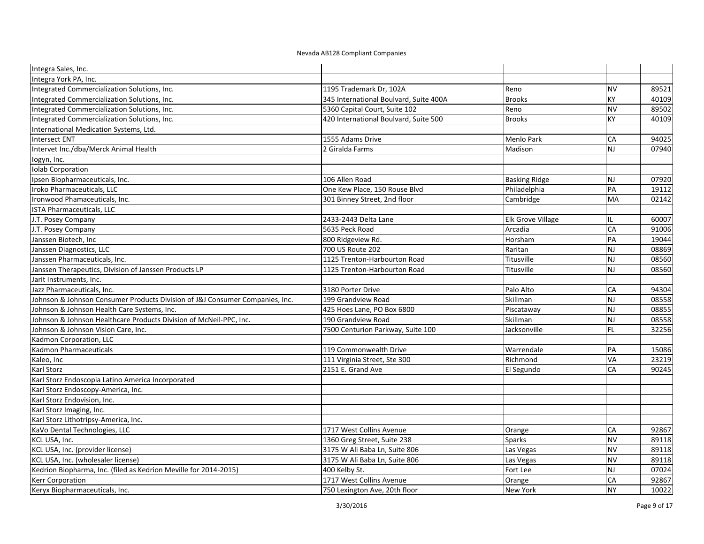| Integra Sales, Inc.                                                          |                                        |                      |                         |       |
|------------------------------------------------------------------------------|----------------------------------------|----------------------|-------------------------|-------|
| Integra York PA, Inc.                                                        |                                        |                      |                         |       |
| Integrated Commercialization Solutions, Inc.                                 | 1195 Trademark Dr, 102A                | Reno                 | <b>NV</b>               | 89521 |
| Integrated Commercialization Solutions, Inc.                                 | 345 International Boulvard, Suite 400A | <b>Brooks</b>        | <b>KY</b>               | 40109 |
| Integrated Commercialization Solutions, Inc.                                 | 5360 Capital Court, Suite 102          | Reno                 | <b>NV</b>               | 89502 |
| Integrated Commercialization Solutions, Inc.                                 | 420 International Boulvard, Suite 500  | <b>Brooks</b>        | KY                      | 40109 |
| International Medication Systems, Ltd.                                       |                                        |                      |                         |       |
| <b>Intersect ENT</b>                                                         | 1555 Adams Drive                       | Menlo Park           | <b>CA</b>               | 94025 |
| Intervet Inc./dba/Merck Animal Health                                        | 2 Giralda Farms                        | Madison              | NJ                      | 07940 |
| logyn, Inc.                                                                  |                                        |                      |                         |       |
| <b>Iolab Corporation</b>                                                     |                                        |                      |                         |       |
| Ipsen Biopharmaceuticals, Inc.                                               | 106 Allen Road                         | <b>Basking Ridge</b> | <b>NJ</b>               | 07920 |
| Iroko Pharmaceuticals, LLC                                                   | One Kew Place, 150 Rouse Blvd          | Philadelphia         | PA                      | 19112 |
| Ironwood Phamaceuticals, Inc.                                                | 301 Binney Street, 2nd floor           | Cambridge            | <b>MA</b>               | 02142 |
| <b>ISTA Pharmaceuticals, LLC</b>                                             |                                        |                      |                         |       |
| J.T. Posey Company                                                           | 2433-2443 Delta Lane                   | Elk Grove Village    | IL.                     | 60007 |
| J.T. Posey Company                                                           | 5635 Peck Road                         | Arcadia              | CA                      | 91006 |
| Janssen Biotech, Inc                                                         | 800 Ridgeview Rd.                      | Horsham              | PA                      | 19044 |
| Janssen Diagnostics, LLC                                                     | 700 US Route 202                       | Raritan              | NJ                      | 08869 |
| Janssen Pharmaceuticals, Inc.                                                | 1125 Trenton-Harbourton Road           | Titusville           | <b>NJ</b>               | 08560 |
| Janssen Therapeutics, Division of Janssen Products LP                        | 1125 Trenton-Harbourton Road           | Titusville           | <b>NJ</b>               | 08560 |
| Jarit Instruments, Inc.                                                      |                                        |                      |                         |       |
| Jazz Pharmaceuticals, Inc.                                                   | 3180 Porter Drive                      | Palo Alto            | CA                      | 94304 |
| Johnson & Johnson Consumer Products Division of J&J Consumer Companies, Inc. | 199 Grandview Road                     | Skillman             | $\overline{\mathsf{N}}$ | 08558 |
| Johnson & Johnson Health Care Systems, Inc.                                  | 425 Hoes Lane, PO Box 6800             | Piscataway           | $\overline{\mathsf{z}}$ | 08855 |
| Johnson & Johnson Healthcare Products Division of McNeil-PPC, Inc.           | 190 Grandview Road                     | Skillman             | <b>NJ</b>               | 08558 |
| Johnson & Johnson Vision Care, Inc.                                          | 7500 Centurion Parkway, Suite 100      | Jacksonville         | <b>FL</b>               | 32256 |
| Kadmon Corporation, LLC                                                      |                                        |                      |                         |       |
| Kadmon Pharmaceuticals                                                       | 119 Commonwealth Drive                 | Warrendale           | PA                      | 15086 |
| Kaleo, Inc                                                                   | 111 Virginia Street, Ste 300           | Richmond             | VA                      | 23219 |
| Karl Storz                                                                   | 2151 E. Grand Ave                      | El Segundo           | <b>CA</b>               | 90245 |
| Karl Storz Endoscopia Latino America Incorporated                            |                                        |                      |                         |       |
| Karl Storz Endoscopy-America, Inc.                                           |                                        |                      |                         |       |
| Karl Storz Endovision, Inc.                                                  |                                        |                      |                         |       |
| Karl Storz Imaging, Inc.                                                     |                                        |                      |                         |       |
| Karl Storz Lithotripsy-America, Inc.                                         |                                        |                      |                         |       |
| KaVo Dental Technologies, LLC                                                | 1717 West Collins Avenue               | Orange               | CA                      | 92867 |
| KCL USA, Inc.                                                                | 1360 Greg Street, Suite 238            | Sparks               | <b>NV</b>               | 89118 |
| KCL USA, Inc. (provider license)                                             | 3175 W Ali Baba Ln, Suite 806          | Las Vegas            | <b>NV</b>               | 89118 |
| KCL USA, Inc. (wholesaler license)                                           | 3175 W Ali Baba Ln, Suite 806          | Las Vegas            | <b>N</b>                | 89118 |
| Kedrion Biopharma, Inc. (filed as Kedrion Meville for 2014-2015)             | 400 Kelby St.                          | Fort Lee             | <b>NJ</b>               | 07024 |
| Kerr Corporation                                                             | 1717 West Collins Avenue               | Orange               | CA                      | 92867 |
| Keryx Biopharmaceuticals, Inc.                                               | 750 Lexington Ave, 20th floor          | New York             | <b>NY</b>               | 10022 |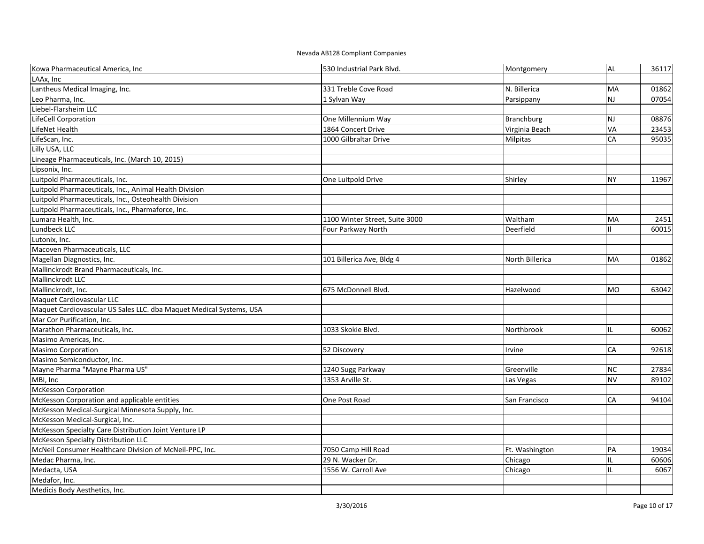| Kowa Pharmaceutical America, Inc                                    | 530 Industrial Park Blvd.      | Montgomery      | <b>AL</b>     | 36117 |
|---------------------------------------------------------------------|--------------------------------|-----------------|---------------|-------|
| LAAx, Inc                                                           |                                |                 |               |       |
| Lantheus Medical Imaging, Inc.                                      | 331 Treble Cove Road           | N. Billerica    | <b>MA</b>     | 01862 |
| Leo Pharma, Inc.                                                    | 1 Sylvan Way                   | Parsippany      | <b>NJ</b>     | 07054 |
| Liebel-Flarsheim LLC                                                |                                |                 |               |       |
| LifeCell Corporation                                                | One Millennium Way             | Branchburg      | NJ            | 08876 |
| LifeNet Health                                                      | 1864 Concert Drive             | Virginia Beach  | VA            | 23453 |
| LifeScan, Inc.                                                      | 1000 Gilbraltar Drive          | Milpitas        | CA            | 95035 |
| Lilly USA, LLC                                                      |                                |                 |               |       |
| Lineage Pharmaceuticals, Inc. (March 10, 2015)                      |                                |                 |               |       |
| Lipsonix, Inc.                                                      |                                |                 |               |       |
| Luitpold Pharmaceuticals, Inc.                                      | One Luitpold Drive             | Shirley         | <b>NY</b>     | 11967 |
| Luitpold Pharmaceuticals, Inc., Animal Health Division              |                                |                 |               |       |
| Luitpold Pharmaceuticals, Inc., Osteohealth Division                |                                |                 |               |       |
| Luitpold Pharmaceuticals, Inc., Pharmaforce, Inc.                   |                                |                 |               |       |
| Lumara Health, Inc.                                                 | 1100 Winter Street, Suite 3000 | Waltham         | MA            | 2451  |
| Lundbeck LLC                                                        | Four Parkway North             | Deerfield       |               | 60015 |
| Lutonix, Inc.                                                       |                                |                 |               |       |
| Macoven Pharmaceuticals, LLC                                        |                                |                 |               |       |
| Magellan Diagnostics, Inc.                                          | 101 Billerica Ave, Bldg 4      | North Billerica | MA            | 01862 |
| Mallinckrodt Brand Pharmaceuticals, Inc.                            |                                |                 |               |       |
| Mallinckrodt LLC                                                    |                                |                 |               |       |
| Mallinckrodt, Inc.                                                  | 675 McDonnell Blvd.            | Hazelwood       | <b>MO</b>     | 63042 |
| Maquet Cardiovascular LLC                                           |                                |                 |               |       |
| Maquet Cardiovascular US Sales LLC. dba Maquet Medical Systems, USA |                                |                 |               |       |
| Mar Cor Purification, Inc.                                          |                                |                 |               |       |
| Marathon Pharmaceuticals, Inc.                                      | 1033 Skokie Blvd.              | Northbrook      | IL            | 60062 |
| Masimo Americas, Inc.                                               |                                |                 |               |       |
| Masimo Corporation                                                  | 52 Discovery                   | Irvine          | CA            | 92618 |
| Masimo Semiconductor, Inc.                                          |                                |                 |               |       |
| Mayne Pharma "Mayne Pharma US"                                      | 1240 Sugg Parkway              | Greenville      | <b>NC</b>     | 27834 |
| MBI, Inc                                                            | 1353 Arville St.               | Las Vegas       | <b>NV</b>     | 89102 |
| McKesson Corporation                                                |                                |                 |               |       |
| McKesson Corporation and applicable entities                        | One Post Road                  | San Francisco   | CA            | 94104 |
| McKesson Medical-Surgical Minnesota Supply, Inc.                    |                                |                 |               |       |
| McKesson Medical-Surgical, Inc.                                     |                                |                 |               |       |
| McKesson Specialty Care Distribution Joint Venture LP               |                                |                 |               |       |
| McKesson Specialty Distribution LLC                                 |                                |                 |               |       |
| McNeil Consumer Healthcare Division of McNeil-PPC, Inc.             | 7050 Camp Hill Road            | Ft. Washington  | PA            | 19034 |
| Medac Pharma, Inc.                                                  | 29 N. Wacker Dr.               | Chicago         | IL            | 60606 |
| Medacta, USA                                                        | 1556 W. Carroll Ave            | Chicago         | $\mathbf{II}$ | 6067  |
| Medafor, Inc.                                                       |                                |                 |               |       |
| Medicis Body Aesthetics, Inc.                                       |                                |                 |               |       |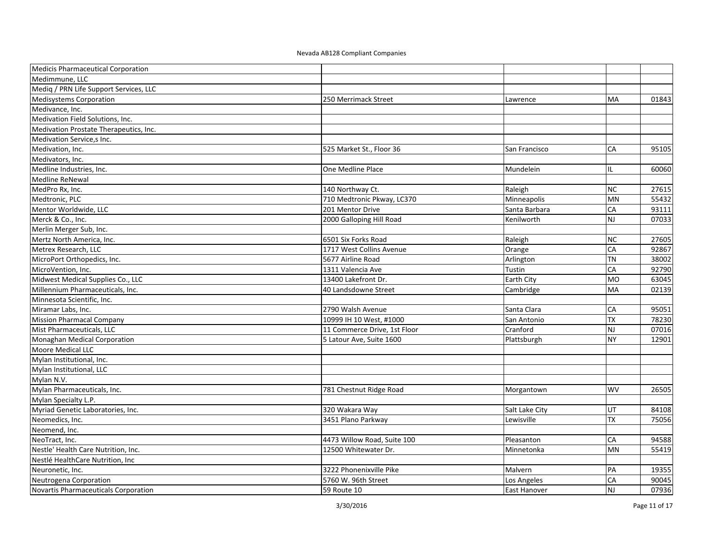| Medicis Pharmaceutical Corporation     |                              |                     |           |       |
|----------------------------------------|------------------------------|---------------------|-----------|-------|
| Medimmune. LLC                         |                              |                     |           |       |
| Mediq / PRN Life Support Services, LLC |                              |                     |           |       |
| <b>Medisystems Corporation</b>         | 250 Merrimack Street         | Lawrence            | MA        | 01843 |
| Medivance, Inc.                        |                              |                     |           |       |
| Medivation Field Solutions, Inc.       |                              |                     |           |       |
| Medivation Prostate Therapeutics, Inc. |                              |                     |           |       |
| Medivation Service,s Inc.              |                              |                     |           |       |
| Medivation, Inc.                       | 525 Market St., Floor 36     | San Francisco       | <b>CA</b> | 95105 |
| Medivators, Inc.                       |                              |                     |           |       |
| Medline Industries, Inc.               | One Medline Place            | Mundelein           | IL        | 60060 |
| <b>Medline ReNewal</b>                 |                              |                     |           |       |
| MedPro Rx, Inc.                        | 140 Northway Ct.             | Raleigh             | <b>NC</b> | 27615 |
| Medtronic, PLC                         | 710 Medtronic Pkway, LC370   | Minneapolis         | <b>MN</b> | 55432 |
| Mentor Worldwide, LLC                  | 201 Mentor Drive             | Santa Barbara       | CA        | 93111 |
| Merck & Co., Inc.                      | 2000 Galloping Hill Road     | Kenilworth          | <b>NJ</b> | 07033 |
| Merlin Merger Sub, Inc.                |                              |                     |           |       |
| Mertz North America, Inc.              | 6501 Six Forks Road          | Raleigh             | <b>NC</b> | 27605 |
| Metrex Research, LLC                   | 1717 West Collins Avenue     | Orange              | CA        | 92867 |
| MicroPort Orthopedics, Inc.            | 5677 Airline Road            | Arlington           | <b>TN</b> | 38002 |
| MicroVention, Inc.                     | 1311 Valencia Ave            | Tustin              | CA        | 92790 |
| Midwest Medical Supplies Co., LLC      | 13400 Lakefront Dr.          | Earth City          | <b>MO</b> | 63045 |
| Millennium Pharmaceuticals, Inc.       | 40 Landsdowne Street         | Cambridge           | MA        | 02139 |
| Minnesota Scientific, Inc.             |                              |                     |           |       |
| Miramar Labs, Inc.                     | 2790 Walsh Avenue            | Santa Clara         | CA        | 95051 |
| <b>Mission Pharmacal Company</b>       | 10999 IH 10 West, #1000      | San Antonio         | <b>TX</b> | 78230 |
| Mist Pharmaceuticals, LLC              | 11 Commerce Drive, 1st Floor | Cranford            | <b>NJ</b> | 07016 |
| Monaghan Medical Corporation           | 5 Latour Ave, Suite 1600     | Plattsburgh         | <b>NY</b> | 12901 |
| Moore Medical LLC                      |                              |                     |           |       |
| Mylan Institutional, Inc.              |                              |                     |           |       |
| Mylan Institutional, LLC               |                              |                     |           |       |
| Mylan N.V.                             |                              |                     |           |       |
| Mylan Pharmaceuticals, Inc.            | 781 Chestnut Ridge Road      | Morgantown          | <b>WV</b> | 26505 |
| Mylan Specialty L.P.                   |                              |                     |           |       |
| Myriad Genetic Laboratories, Inc.      | 320 Wakara Way               | Salt Lake City      | UT        | 84108 |
| Neomedics, Inc.                        | 3451 Plano Parkway           | Lewisville          | <b>TX</b> | 75056 |
| Neomend, Inc.                          |                              |                     |           |       |
| NeoTract, Inc.                         | 4473 Willow Road, Suite 100  | Pleasanton          | CA        | 94588 |
| Nestle' Health Care Nutrition, Inc.    | 12500 Whitewater Dr.         | Minnetonka          | <b>MN</b> | 55419 |
| Nestlé HealthCare Nutrition, Inc.      |                              |                     |           |       |
| Neuronetic, Inc.                       | 3222 Phonenixville Pike      | Malvern             | PA        | 19355 |
| Neutrogena Corporation                 | 5760 W. 96th Street          | Los Angeles         | CA        | 90045 |
| Novartis Pharmaceuticals Corporation   | 59 Route 10                  | <b>East Hanover</b> | <b>NJ</b> | 07936 |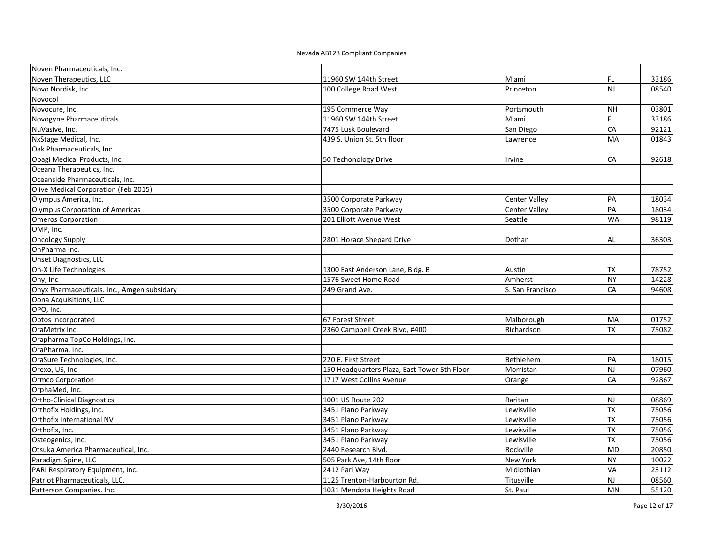| Noven Pharmaceuticals, Inc.                 |                                              |                      |           |       |
|---------------------------------------------|----------------------------------------------|----------------------|-----------|-------|
| Noven Therapeutics, LLC                     | 11960 SW 144th Street                        | Miami                | FL.       | 33186 |
| Novo Nordisk, Inc.                          | 100 College Road West                        | Princeton            | NJ        | 08540 |
| Novocol                                     |                                              |                      |           |       |
| Novocure, Inc.                              | 195 Commerce Way                             | Portsmouth           | <b>NH</b> | 03801 |
| Novogyne Pharmaceuticals                    | 11960 SW 144th Street                        | Miami                | FL        | 33186 |
| NuVasive, Inc.                              | 7475 Lusk Boulevard                          | San Diego            | CA        | 92121 |
| NxStage Medical, Inc.                       | 439 S. Union St. 5th floor                   | Lawrence             | MA        | 01843 |
| Oak Pharmaceuticals, Inc.                   |                                              |                      |           |       |
| Obagi Medical Products, Inc.                | 50 Techonology Drive                         | Irvine               | CA        | 92618 |
| Oceana Therapeutics, Inc.                   |                                              |                      |           |       |
| Oceanside Pharmaceuticals, Inc.             |                                              |                      |           |       |
| Olive Medical Corporation (Feb 2015)        |                                              |                      |           |       |
| Olympus America, Inc.                       | 3500 Corporate Parkway                       | <b>Center Valley</b> | PA        | 18034 |
| Olympus Corporation of Americas             | 3500 Corporate Parkway                       | <b>Center Valley</b> | PA        | 18034 |
| <b>Omeros Corporation</b>                   | 201 Elliott Avenue West                      | Seattle              | <b>WA</b> | 98119 |
| OMP, Inc.                                   |                                              |                      |           |       |
| Oncology Supply                             | 2801 Horace Shepard Drive                    | Dothan               | <b>AL</b> | 36303 |
| OnPharma Inc.                               |                                              |                      |           |       |
| Onset Diagnostics, LLC                      |                                              |                      |           |       |
| On-X Life Technologies                      | 1300 East Anderson Lane, Bldg. B             | Austin               | <b>TX</b> | 78752 |
| Ony, Inc                                    | 1576 Sweet Home Road                         | Amherst              | <b>NY</b> | 14228 |
| Onyx Pharmaceuticals. Inc., Amgen subsidary | 249 Grand Ave.                               | S. San Francisco     | CA        | 94608 |
| Oona Acquisitions, LLC                      |                                              |                      |           |       |
| OPO, Inc.                                   |                                              |                      |           |       |
| Optos Incorporated                          | 67 Forest Street                             | Malborough           | MA        | 01752 |
| OraMetrix Inc.                              | 2360 Campbell Creek Blvd, #400               | Richardson           | <b>TX</b> | 75082 |
| Orapharma TopCo Holdings, Inc.              |                                              |                      |           |       |
| OraPharma, Inc.                             |                                              |                      |           |       |
| OraSure Technologies, Inc.                  | 220 E. First Street                          | Bethlehem            | PA        | 18015 |
| Orexo, US, Inc                              | 150 Headquarters Plaza, East Tower 5th Floor | Morristan            | <b>NJ</b> | 07960 |
| Ormco Corporation                           | 1717 West Collins Avenue                     | Orange               | CA        | 92867 |
| OrphaMed, Inc.                              |                                              |                      |           |       |
| <b>Ortho-Clinical Diagnostics</b>           | 1001 US Route 202                            | Raritan              | <b>NJ</b> | 08869 |
| Orthofix Holdings, Inc.                     | 3451 Plano Parkway                           | Lewisville           | <b>TX</b> | 75056 |
| Orthofix International NV                   | 3451 Plano Parkway                           | Lewisville           | <b>TX</b> | 75056 |
| Orthofix, Inc.                              | 3451 Plano Parkway                           | Lewisville           | TX        | 75056 |
| Osteogenics, Inc.                           | 3451 Plano Parkway                           | Lewisville           | <b>TX</b> | 75056 |
| Otsuka America Pharmaceutical, Inc.         | 2440 Research Blvd.                          | Rockville            | <b>MD</b> | 20850 |
| Paradigm Spine, LLC                         | 505 Park Ave, 14th floor                     | New York             | NY        | 10022 |
| PARI Respiratory Equipment, Inc.            | 2412 Pari Way                                | Midlothian           | VA        | 23112 |
| Patriot Pharmaceuticals, LLC.               | 1125 Trenton-Harbourton Rd.                  | Titusville           | NJ        | 08560 |
| Patterson Companies. Inc.                   | 1031 Mendota Heights Road                    | St. Paul             | MN        | 55120 |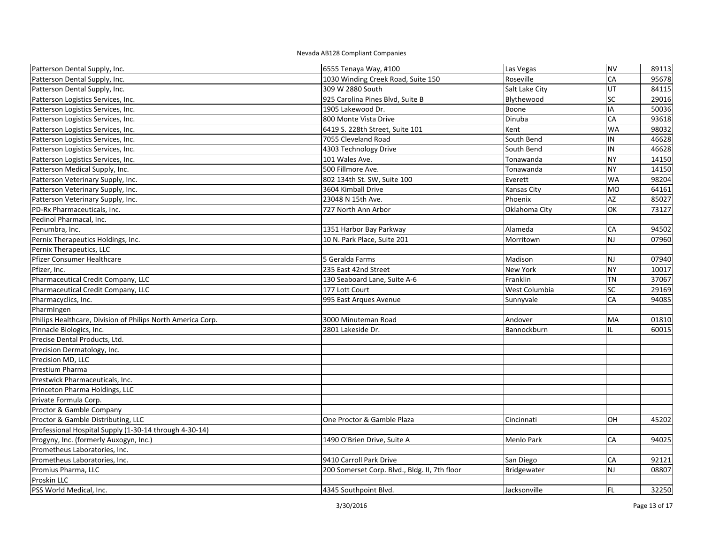| Patterson Dental Supply, Inc.                               | 6555 Tenaya Way, #100                         | Las Vegas      | <b>NV</b> | 89113 |
|-------------------------------------------------------------|-----------------------------------------------|----------------|-----------|-------|
| Patterson Dental Supply, Inc.                               | 1030 Winding Creek Road, Suite 150            | Roseville      | CA        | 95678 |
| Patterson Dental Supply, Inc.                               | 309 W 2880 South                              | Salt Lake City | UT        | 84115 |
| Patterson Logistics Services, Inc.                          | 925 Carolina Pines Blvd, Suite B              | Blythewood     | SC        | 29016 |
| Patterson Logistics Services, Inc.                          | 1905 Lakewood Dr.                             | Boone          | IA        | 50036 |
| Patterson Logistics Services, Inc.                          | 800 Monte Vista Drive                         | Dinuba         | CA        | 93618 |
| Patterson Logistics Services, Inc.                          | 6419 S. 228th Street, Suite 101               | Kent           | <b>WA</b> | 98032 |
| Patterson Logistics Services, Inc.                          | 7055 Cleveland Road                           | South Bend     | IN        | 46628 |
| Patterson Logistics Services, Inc.                          | 4303 Technology Drive                         | South Bend     | IN        | 46628 |
| Patterson Logistics Services, Inc.                          | 101 Wales Ave.                                | Tonawanda      | <b>NY</b> | 14150 |
| Patterson Medical Supply, Inc.                              | 500 Fillmore Ave.                             | Tonawanda      | <b>NY</b> | 14150 |
| Patterson Veterinary Supply, Inc.                           | 802 134th St. SW, Suite 100                   | Everett        | <b>WA</b> | 98204 |
| Patterson Veterinary Supply, Inc.                           | 3604 Kimball Drive                            | Kansas City    | <b>MO</b> | 64161 |
| Patterson Veterinary Supply, Inc.                           | 23048 N 15th Ave.                             | Phoenix        | AZ        | 85027 |
| PD-Rx Pharmaceuticals, Inc.                                 | 727 North Ann Arbor                           | Oklahoma City  | OK        | 73127 |
| Pedinol Pharmacal, Inc.                                     |                                               |                |           |       |
| Penumbra, Inc.                                              | 1351 Harbor Bay Parkway                       | Alameda        | CA        | 94502 |
| Pernix Therapeutics Holdings, Inc.                          | 10 N. Park Place, Suite 201                   | Morritown      | <b>NJ</b> | 07960 |
| Pernix Therapeutics, LLC                                    |                                               |                |           |       |
| <b>Pfizer Consumer Healthcare</b>                           | 5 Geralda Farms                               | Madison        | <b>NJ</b> | 07940 |
| Pfizer, Inc.                                                | 235 East 42nd Street                          | New York       | <b>NY</b> | 10017 |
| Pharmaceutical Credit Company, LLC                          | 130 Seaboard Lane, Suite A-6                  | Franklin       | <b>TN</b> | 37067 |
| Pharmaceutical Credit Company, LLC                          | 177 Lott Court                                | West Columbia  | SC        | 29169 |
| Pharmacyclics, Inc.                                         | 995 East Arques Avenue                        | Sunnyvale      | CA        | 94085 |
| PharmIngen                                                  |                                               |                |           |       |
| Philips Healthcare, Division of Philips North America Corp. | 3000 Minuteman Road                           | Andover        | MA        | 01810 |
| Pinnacle Biologics, Inc.                                    | 2801 Lakeside Dr.                             | Bannockburn    | IL.       | 60015 |
| Precise Dental Products, Ltd.                               |                                               |                |           |       |
| Precision Dermatology, Inc.                                 |                                               |                |           |       |
| Precision MD, LLC                                           |                                               |                |           |       |
| Prestium Pharma                                             |                                               |                |           |       |
| Prestwick Pharmaceuticals, Inc.                             |                                               |                |           |       |
| Princeton Pharma Holdings, LLC                              |                                               |                |           |       |
| Private Formula Corp.                                       |                                               |                |           |       |
| Proctor & Gamble Company                                    |                                               |                |           |       |
| Proctor & Gamble Distributing, LLC                          | One Proctor & Gamble Plaza                    | Cincinnati     | OH        | 45202 |
| Professional Hospital Supply (1-30-14 through 4-30-14)      |                                               |                |           |       |
| Progyny, Inc. (formerly Auxogyn, Inc.)                      | 1490 O'Brien Drive, Suite A                   | Menlo Park     | CA        | 94025 |
| Prometheus Laboratories, Inc.                               |                                               |                |           |       |
| Prometheus Laboratories, Inc.                               | 9410 Carroll Park Drive                       | San Diego      | CA        | 92121 |
| Promius Pharma, LLC                                         | 200 Somerset Corp. Blvd., Bldg. II, 7th floor | Bridgewater    | <b>NJ</b> | 08807 |
| Proskin LLC                                                 |                                               |                |           |       |
| PSS World Medical, Inc.                                     | 4345 Southpoint Blvd.                         | Jacksonville   | FL        | 32250 |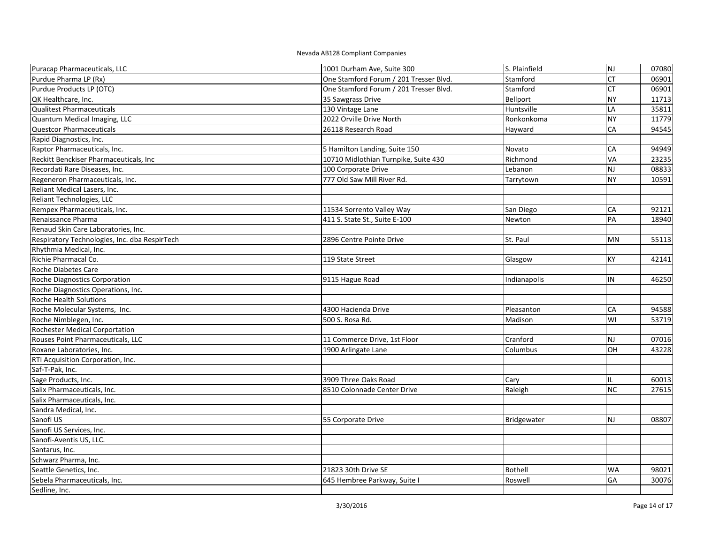| Puracap Pharmaceuticals, LLC                  | 1001 Durham Ave, Suite 300             | S. Plainfield  | $\overline{z}$ | 07080 |
|-----------------------------------------------|----------------------------------------|----------------|----------------|-------|
| Purdue Pharma LP (Rx)                         | One Stamford Forum / 201 Tresser Blvd. | Stamford       | <b>CT</b>      | 06901 |
| Purdue Products LP (OTC)                      | One Stamford Forum / 201 Tresser Blvd. | Stamford       | <b>CT</b>      | 06901 |
| QK Healthcare, Inc.                           | 35 Sawgrass Drive                      | Bellport       | <b>NY</b>      | 11713 |
| <b>Qualitest Pharmaceuticals</b>              | 130 Vintage Lane                       | Huntsville     | LA             | 35811 |
| Quantum Medical Imaging, LLC                  | 2022 Orville Drive North               | Ronkonkoma     | <b>NY</b>      | 11779 |
| <b>Questcor Pharmaceuticals</b>               | 26118 Research Road                    | Hayward        | CA             | 94545 |
| Rapid Diagnostics, Inc.                       |                                        |                |                |       |
| Raptor Pharmaceuticals, Inc.                  | 5 Hamilton Landing, Suite 150          | Novato         | CA             | 94949 |
| Reckitt Benckiser Pharmaceuticals, Inc        | 10710 Midlothian Turnpike, Suite 430   | Richmond       | VA             | 23235 |
| Recordati Rare Diseases, Inc.                 | 100 Corporate Drive                    | Lebanon        | <b>NJ</b>      | 08833 |
| Regeneron Pharmaceuticals, Inc.               | 777 Old Saw Mill River Rd.             | Tarrytown      | <b>NY</b>      | 10591 |
| Reliant Medical Lasers, Inc.                  |                                        |                |                |       |
| Reliant Technologies, LLC                     |                                        |                |                |       |
| Rempex Pharmaceuticals, Inc.                  | 11534 Sorrento Valley Way              | San Diego      | CA             | 92121 |
| Renaissance Pharma                            | 411 S. State St., Suite E-100          | Newton         | PA             | 18940 |
| Renaud Skin Care Laboratories, Inc.           |                                        |                |                |       |
| Respiratory Technologies, Inc. dba RespirTech | 2896 Centre Pointe Drive               | St. Paul       | <b>MN</b>      | 55113 |
| Rhythmia Medical, Inc.                        |                                        |                |                |       |
| Richie Pharmacal Co.                          | 119 State Street                       | Glasgow        | <b>KY</b>      | 42141 |
| Roche Diabetes Care                           |                                        |                |                |       |
| Roche Diagnostics Corporation                 | 9115 Hague Road                        | Indianapolis   | IN             | 46250 |
| Roche Diagnostics Operations, Inc.            |                                        |                |                |       |
| <b>Roche Health Solutions</b>                 |                                        |                |                |       |
| Roche Molecular Systems, Inc.                 | 4300 Hacienda Drive                    | Pleasanton     | CA             | 94588 |
| Roche Nimblegen, Inc.                         | 500 S. Rosa Rd.                        | Madison        | WI             | 53719 |
| Rochester Medical Corportation                |                                        |                |                |       |
| Rouses Point Pharmaceuticals, LLC             | 11 Commerce Drive, 1st Floor           | Cranford       | <b>NJ</b>      | 07016 |
| Roxane Laboratories, Inc.                     | 1900 Arlingate Lane                    | Columbus       | OH             | 43228 |
| RTI Acquisition Corporation, Inc.             |                                        |                |                |       |
| Saf-T-Pak, Inc.                               |                                        |                |                |       |
| Sage Products, Inc.                           | 3909 Three Oaks Road                   | Cary           | IL.            | 60013 |
| Salix Pharmaceuticals, Inc.                   | 8510 Colonnade Center Drive            | Raleigh        | <b>NC</b>      | 27615 |
| Salix Pharmaceuticals, Inc.                   |                                        |                |                |       |
| Sandra Medical, Inc.                          |                                        |                |                |       |
| Sanofi US                                     | 55 Corporate Drive                     | Bridgewater    | <b>NJ</b>      | 08807 |
| Sanofi US Services, Inc.                      |                                        |                |                |       |
| Sanofi-Aventis US, LLC.                       |                                        |                |                |       |
| Santarus, Inc.                                |                                        |                |                |       |
| Schwarz Pharma, Inc.                          |                                        |                |                |       |
| Seattle Genetics, Inc.                        | 21823 30th Drive SE                    | <b>Bothell</b> | <b>WA</b>      | 98021 |
| Sebela Pharmaceuticals, Inc.                  | 645 Hembree Parkway, Suite I           | Roswell        | GA             | 30076 |
| Sedline, Inc.                                 |                                        |                |                |       |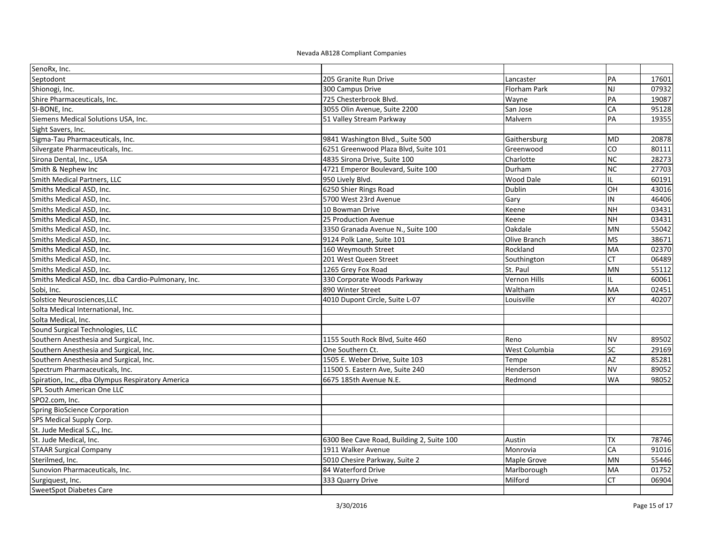| SenoRx, Inc.                                        |                                           |                     |                 |       |
|-----------------------------------------------------|-------------------------------------------|---------------------|-----------------|-------|
| Septodont                                           | 205 Granite Run Drive                     | Lancaster           | PA              | 17601 |
| Shionogi, Inc.                                      | 300 Campus Drive                          | <b>Florham Park</b> | NJ              | 07932 |
| Shire Pharmaceuticals, Inc.                         | 725 Chesterbrook Blvd.                    | Wayne               | PA              | 19087 |
| SI-BONE, Inc.                                       | 3055 Olin Avenue, Suite 2200              | San Jose            | CA              | 95128 |
| Siemens Medical Solutions USA, Inc.                 | 51 Valley Stream Parkway                  | Malvern             | PA              | 19355 |
| Sight Savers, Inc.                                  |                                           |                     |                 |       |
| Sigma-Tau Pharmaceuticals, Inc.                     | 9841 Washington Blvd., Suite 500          | Gaithersburg        | MD              | 20878 |
| Silvergate Pharmaceuticals, Inc.                    | 6251 Greenwood Plaza Blvd, Suite 101      | Greenwood           | CO              | 80111 |
| Sirona Dental, Inc., USA                            | 4835 Sirona Drive, Suite 100              | Charlotte           | $\overline{NC}$ | 28273 |
| Smith & Nephew Inc                                  | 4721 Emperor Boulevard, Suite 100         | Durham              | <b>NC</b>       | 27703 |
| Smith Medical Partners, LLC                         | 950 Lively Blvd.                          | <b>Wood Dale</b>    | IL.             | 60191 |
| Smiths Medical ASD, Inc.                            | 6250 Shier Rings Road                     | Dublin              | OH              | 43016 |
| Smiths Medical ASD, Inc.                            | 5700 West 23rd Avenue                     | Gary                | IN              | 46406 |
| Smiths Medical ASD, Inc.                            | 10 Bowman Drive                           | Keene               | <b>NH</b>       | 03431 |
| Smiths Medical ASD, Inc.                            | 25 Production Avenue                      | Keene               | <b>NH</b>       | 03431 |
| Smiths Medical ASD, Inc.                            | 3350 Granada Avenue N., Suite 100         | Oakdale             | MN              | 55042 |
| Smiths Medical ASD, Inc.                            | 9124 Polk Lane, Suite 101                 | Olive Branch        | <b>MS</b>       | 38671 |
| Smiths Medical ASD, Inc.                            | 160 Weymouth Street                       | Rockland            | MA              | 02370 |
| Smiths Medical ASD, Inc.                            | 201 West Queen Street                     | Southington         | CT              | 06489 |
| Smiths Medical ASD, Inc.                            | 1265 Grey Fox Road                        | St. Paul            | MN              | 55112 |
| Smiths Medical ASD, Inc. dba Cardio-Pulmonary, Inc. | 330 Corporate Woods Parkway               | <b>Vernon Hills</b> | IL.             | 60061 |
| Sobi, Inc.                                          | 890 Winter Street                         | Waltham             | MA              | 02451 |
| Solstice Neurosciences, LLC                         | 4010 Dupont Circle, Suite L-07            | Louisville          | KΥ              | 40207 |
| Solta Medical International, Inc.                   |                                           |                     |                 |       |
| Solta Medical, Inc.                                 |                                           |                     |                 |       |
| Sound Surgical Technologies, LLC                    |                                           |                     |                 |       |
| Southern Anesthesia and Surgical, Inc.              | 1155 South Rock Blvd, Suite 460           | Reno                | NV              | 89502 |
| Southern Anesthesia and Surgical, Inc.              | One Southern Ct.                          | West Columbia       | $\overline{sc}$ | 29169 |
| Southern Anesthesia and Surgical, Inc.              | 1505 E. Weber Drive, Suite 103            | Tempe               | AZ              | 85281 |
| Spectrum Pharmaceuticals, Inc.                      | 11500 S. Eastern Ave, Suite 240           | Henderson           | <b>NV</b>       | 89052 |
| Spiration, Inc., dba Olympus Respiratory America    | 6675 185th Avenue N.E.                    | Redmond             | <b>WA</b>       | 98052 |
| SPL South American One LLC                          |                                           |                     |                 |       |
| SPO2.com, Inc.                                      |                                           |                     |                 |       |
| Spring BioScience Corporation                       |                                           |                     |                 |       |
| SPS Medical Supply Corp.                            |                                           |                     |                 |       |
| St. Jude Medical S.C., Inc.                         |                                           |                     |                 |       |
| St. Jude Medical, Inc.                              | 6300 Bee Cave Road, Building 2, Suite 100 | Austin              | TX              | 78746 |
| <b>STAAR Surgical Company</b>                       | 1911 Walker Avenue                        | Monrovia            | CA              | 91016 |
| Sterilmed, Inc.                                     | 5010 Chesire Parkway, Suite 2             | Maple Grove         | MN              | 55446 |
| Sunovion Pharmaceuticals, Inc.                      | 84 Waterford Drive                        | Marlborough         | MA              | 01752 |
| Surgiquest, Inc.                                    | 333 Quarry Drive                          | Milford             | СT              | 06904 |
| SweetSpot Diabetes Care                             |                                           |                     |                 |       |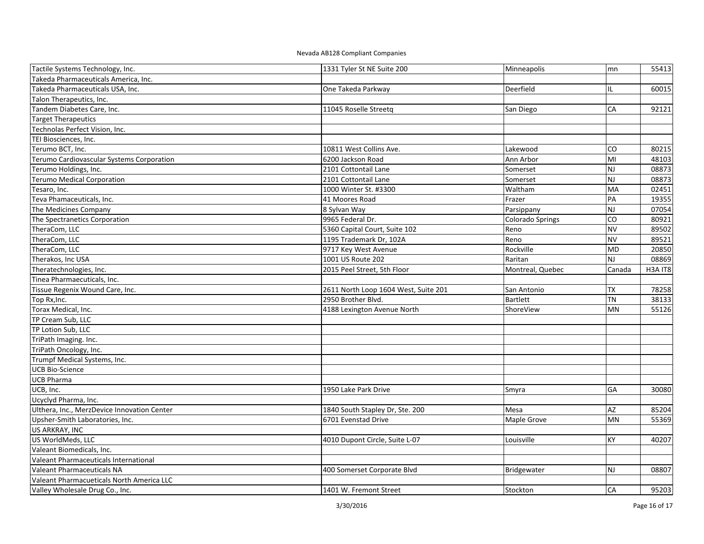| Tactile Systems Technology, Inc.            | 1331 Tyler St NE Suite 200           | Minneapolis             | mn                      | 55413   |
|---------------------------------------------|--------------------------------------|-------------------------|-------------------------|---------|
| Takeda Pharmaceuticals America, Inc.        |                                      |                         |                         |         |
| Takeda Pharmaceuticals USA. Inc.            | One Takeda Parkway                   | Deerfield               | IL                      | 60015   |
| Talon Therapeutics, Inc.                    |                                      |                         |                         |         |
| Tandem Diabetes Care, Inc.                  | 11045 Roselle Streetg                | San Diego               | CA                      | 92121   |
| <b>Target Therapeutics</b>                  |                                      |                         |                         |         |
| Technolas Perfect Vision, Inc.              |                                      |                         |                         |         |
| TEI Biosciences, Inc.                       |                                      |                         |                         |         |
| Terumo BCT, Inc.                            | 10811 West Collins Ave.              | Lakewood                | CO                      | 80215   |
| Terumo Cardiovascular Systems Corporation   | 6200 Jackson Road                    | Ann Arbor               | MI                      | 48103   |
| Terumo Holdings, Inc.                       | 2101 Cottontail Lane                 | Somerset                | <b>NJ</b>               | 08873   |
| <b>Terumo Medical Corporation</b>           | 2101 Cottontail Lane                 | Somerset                | <b>NJ</b>               | 08873   |
| Tesaro, Inc.                                | 1000 Winter St. #3300                | Waltham                 | <b>MA</b>               | 02451   |
| Teva Phamaceuticals, Inc.                   | 41 Moores Road                       | Frazer                  | PA                      | 19355   |
| The Medicines Company                       | 8 Sylvan Way                         | Parsippany              | <b>NJ</b>               | 07054   |
| The Spectranetics Corporation               | 9965 Federal Dr.                     | <b>Colorado Springs</b> | CO                      | 80921   |
| TheraCom, LLC                               | 5360 Capital Court, Suite 102        | Reno                    | <b>NV</b>               | 89502   |
| TheraCom, LLC                               | 1195 Trademark Dr, 102A              | Reno                    | <b>NV</b>               | 89521   |
| TheraCom, LLC                               | 9717 Key West Avenue                 | Rockville               | <b>MD</b>               | 20850   |
| Therakos, Inc USA                           | 1001 US Route 202                    | Raritan                 | $\overline{\mathsf{M}}$ | 08869   |
| Theratechnologies, Inc.                     | 2015 Peel Street, 5th Floor          | Montreal, Quebec        | Canada                  | H3A IT8 |
| Tinea Pharmaecuticals, Inc.                 |                                      |                         |                         |         |
| Tissue Regenix Wound Care, Inc.             | 2611 North Loop 1604 West, Suite 201 | San Antonio             | <b>TX</b>               | 78258   |
| Top Rx, Inc.                                | 2950 Brother Blvd.                   | Bartlett                | <b>TN</b>               | 38133   |
| Torax Medical, Inc.                         | 4188 Lexington Avenue North          | ShoreView               | <b>MN</b>               | 55126   |
| TP Cream Sub, LLC                           |                                      |                         |                         |         |
| TP Lotion Sub, LLC                          |                                      |                         |                         |         |
| TriPath Imaging. Inc.                       |                                      |                         |                         |         |
| TriPath Oncology, Inc.                      |                                      |                         |                         |         |
| Trumpf Medical Systems, Inc.                |                                      |                         |                         |         |
| <b>UCB Bio-Science</b>                      |                                      |                         |                         |         |
| <b>UCB Pharma</b>                           |                                      |                         |                         |         |
| UCB, Inc.                                   | 1950 Lake Park Drive                 | Smyra                   | <b>GA</b>               | 30080   |
| Ucyclyd Pharma, Inc.                        |                                      |                         |                         |         |
| Ulthera, Inc., MerzDevice Innovation Center | 1840 South Stapley Dr, Ste. 200      | Mesa                    | AZ                      | 85204   |
| Upsher-Smith Laboratories, Inc.             | 6701 Evenstad Drive                  | Maple Grove             | <b>MN</b>               | 55369   |
| US ARKRAY, INC                              |                                      |                         |                         |         |
| US WorldMeds, LLC                           | 4010 Dupont Circle, Suite L-07       | Louisville              | <b>KY</b>               | 40207   |
| Valeant Biomedicals, Inc.                   |                                      |                         |                         |         |
| Valeant Pharmaceuticals International       |                                      |                         |                         |         |
| Valeant Pharmaceuticals NA                  | 400 Somerset Corporate Blvd          | Bridgewater             | <b>NJ</b>               | 08807   |
| Valeant Pharmacueticals North America LLC   |                                      |                         |                         |         |
| Valley Wholesale Drug Co., Inc.             | 1401 W. Fremont Street               | Stockton                | CA                      | 95203   |